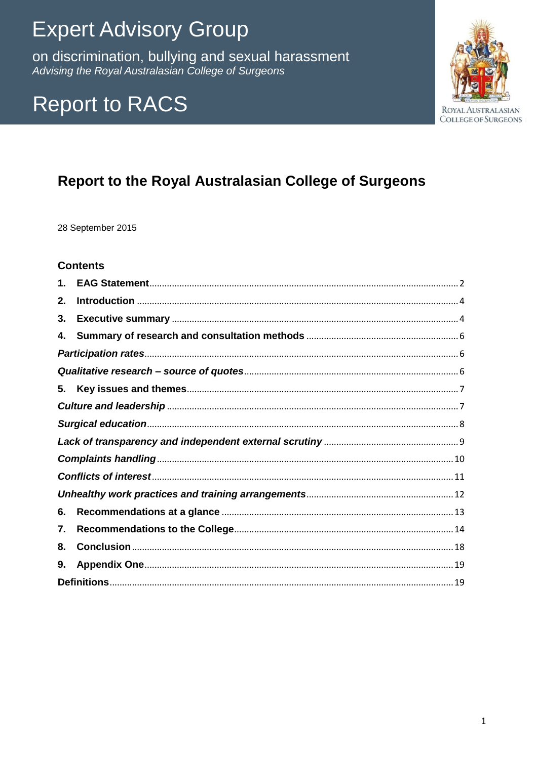# **Expert Advisory Group**

on discrimination, bullying and sexual harassment Advising the Royal Australasian College of Surgeons

## **Report to RACS**



## Report to the Royal Australasian College of Surgeons

28 September 2015

### **Contents**

| 1. |  |  |  |  |
|----|--|--|--|--|
| 2. |  |  |  |  |
| 3. |  |  |  |  |
| 4. |  |  |  |  |
|    |  |  |  |  |
|    |  |  |  |  |
| 5. |  |  |  |  |
|    |  |  |  |  |
|    |  |  |  |  |
|    |  |  |  |  |
|    |  |  |  |  |
|    |  |  |  |  |
|    |  |  |  |  |
| 6. |  |  |  |  |
| 7. |  |  |  |  |
| 8. |  |  |  |  |
| 9. |  |  |  |  |
|    |  |  |  |  |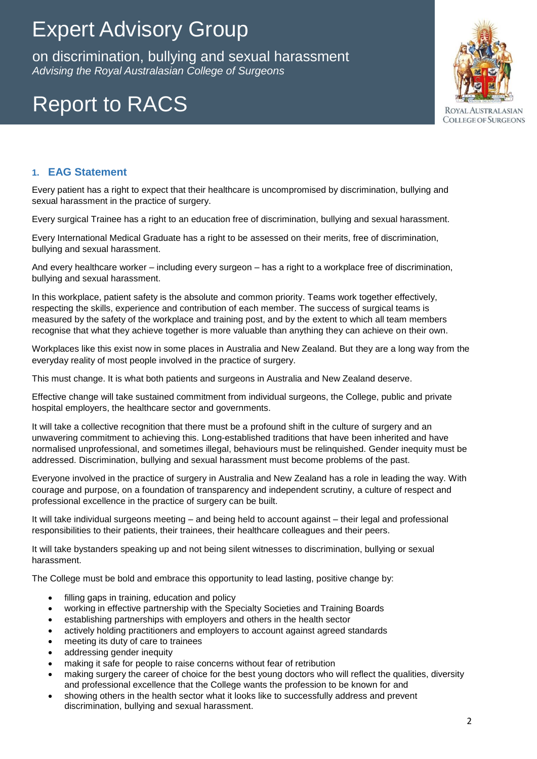on discrimination, bullying and sexual harassment *Advising the Royal Australasian College of Surgeons* on discrimination, bullying and sexual harassment

# Report to RACS



### **1. EAG Statement**

Every patient has a right to expect that their healthcare is uncompromised by discrimination, bullying and sexual harassment in the practice of surgery.

Every surgical Trainee has a right to an education free of discrimination, bullying and sexual harassment.

Every International Medical Graduate has a right to be assessed on their merits, free of discrimination, bullying and sexual harassment.

And every healthcare worker – including every surgeon – has a right to a workplace free of discrimination, bullying and sexual harassment.

In this workplace, patient safety is the absolute and common priority. Teams work together effectively, respecting the skills, experience and contribution of each member. The success of surgical teams is measured by the safety of the workplace and training post, and by the extent to which all team members recognise that what they achieve together is more valuable than anything they can achieve on their own.

Workplaces like this exist now in some places in Australia and New Zealand. But they are a long way from the everyday reality of most people involved in the practice of surgery.

This must change. It is what both patients and surgeons in Australia and New Zealand deserve.

Effective change will take sustained commitment from individual surgeons, the College, public and private hospital employers, the healthcare sector and governments.

It will take a collective recognition that there must be a profound shift in the culture of surgery and an unwavering commitment to achieving this. Long-established traditions that have been inherited and have normalised unprofessional, and sometimes illegal, behaviours must be relinquished. Gender inequity must be addressed. Discrimination, bullying and sexual harassment must become problems of the past.

Everyone involved in the practice of surgery in Australia and New Zealand has a role in leading the way. With courage and purpose, on a foundation of transparency and independent scrutiny, a culture of respect and professional excellence in the practice of surgery can be built.

It will take individual surgeons meeting – and being held to account against – their legal and professional responsibilities to their patients, their trainees, their healthcare colleagues and their peers.

It will take bystanders speaking up and not being silent witnesses to discrimination, bullying or sexual harassment.

The College must be bold and embrace this opportunity to lead lasting, positive change by:

- filling gaps in training, education and policy
- working in effective partnership with the Specialty Societies and Training Boards
- establishing partnerships with employers and others in the health sector
- actively holding practitioners and employers to account against agreed standards
- meeting its duty of care to trainees
- addressing gender inequity
- making it safe for people to raise concerns without fear of retribution
- making surgery the career of choice for the best young doctors who will reflect the qualities, diversity and professional excellence that the College wants the profession to be known for and
- showing others in the health sector what it looks like to successfully address and prevent discrimination, bullying and sexual harassment.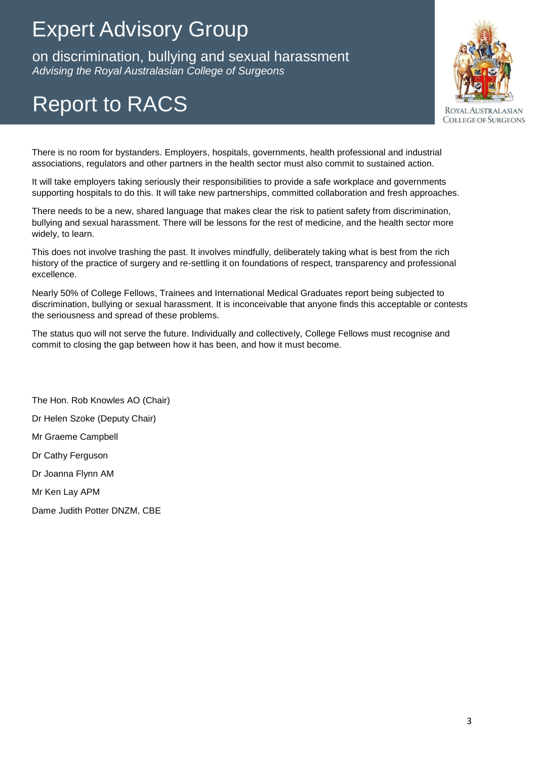on discrimination, bullying and sexual harassment *Advising the Royal Australasian College of Surgeons* on discrimination, bullying and sexual harassment

# Report to RACS



There is no room for bystanders. Employers, hospitals, governments, health professional and industrial associations, regulators and other partners in the health sector must also commit to sustained action.

It will take employers taking seriously their responsibilities to provide a safe workplace and governments supporting hospitals to do this. It will take new partnerships, committed collaboration and fresh approaches.

There needs to be a new, shared language that makes clear the risk to patient safety from discrimination, bullying and sexual harassment. There will be lessons for the rest of medicine, and the health sector more widely, to learn.

This does not involve trashing the past. It involves mindfully, deliberately taking what is best from the rich history of the practice of surgery and re-settling it on foundations of respect, transparency and professional excellence.

Nearly 50% of College Fellows, Trainees and International Medical Graduates report being subjected to discrimination, bullying or sexual harassment. It is inconceivable that anyone finds this acceptable or contests the seriousness and spread of these problems.

The status quo will not serve the future. Individually and collectively, College Fellows must recognise and commit to closing the gap between how it has been, and how it must become.

The Hon. Rob Knowles AO (Chair) Dr Helen Szoke (Deputy Chair) Mr Graeme Campbell Dr Cathy Ferguson Dr Joanna Flynn AM Mr Ken Lay APM Dame Judith Potter DNZM, CBE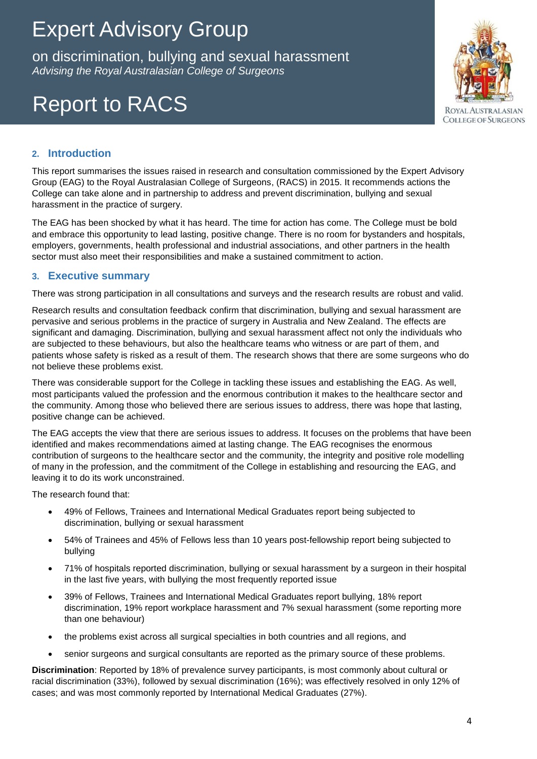on discrimination, bullying and sexual harassment *Advising the Royal Australasian College of Surgeons* on discrimination, bullying and sexual harassment

# Report to RACS



### **2. Introduction**

This report summarises the issues raised in research and consultation commissioned by the Expert Advisory Group (EAG) to the Royal Australasian College of Surgeons, (RACS) in 2015. It recommends actions the College can take alone and in partnership to address and prevent discrimination, bullying and sexual harassment in the practice of surgery.

The EAG has been shocked by what it has heard. The time for action has come. The College must be bold and embrace this opportunity to lead lasting, positive change. There is no room for bystanders and hospitals, employers, governments, health professional and industrial associations, and other partners in the health sector must also meet their responsibilities and make a sustained commitment to action.

### **3. Executive summary**

There was strong participation in all consultations and surveys and the research results are robust and valid.

Research results and consultation feedback confirm that discrimination, bullying and sexual harassment are pervasive and serious problems in the practice of surgery in Australia and New Zealand. The effects are significant and damaging. Discrimination, bullying and sexual harassment affect not only the individuals who are subjected to these behaviours, but also the healthcare teams who witness or are part of them, and patients whose safety is risked as a result of them. The research shows that there are some surgeons who do not believe these problems exist.

There was considerable support for the College in tackling these issues and establishing the EAG. As well, most participants valued the profession and the enormous contribution it makes to the healthcare sector and the community. Among those who believed there are serious issues to address, there was hope that lasting, positive change can be achieved.

The EAG accepts the view that there are serious issues to address. It focuses on the problems that have been identified and makes recommendations aimed at lasting change. The EAG recognises the enormous contribution of surgeons to the healthcare sector and the community, the integrity and positive role modelling of many in the profession, and the commitment of the College in establishing and resourcing the EAG, and leaving it to do its work unconstrained.

The research found that:

- 49% of Fellows, Trainees and International Medical Graduates report being subjected to discrimination, bullying or sexual harassment
- 54% of Trainees and 45% of Fellows less than 10 years post-fellowship report being subjected to bullying
- 71% of hospitals reported discrimination, bullying or sexual harassment by a surgeon in their hospital in the last five years, with bullying the most frequently reported issue
- 39% of Fellows, Trainees and International Medical Graduates report bullying, 18% report discrimination, 19% report workplace harassment and 7% sexual harassment (some reporting more than one behaviour)
- the problems exist across all surgical specialties in both countries and all regions, and
- senior surgeons and surgical consultants are reported as the primary source of these problems.

**Discrimination**: Reported by 18% of prevalence survey participants, is most commonly about cultural or racial discrimination (33%), followed by sexual discrimination (16%); was effectively resolved in only 12% of cases; and was most commonly reported by International Medical Graduates (27%).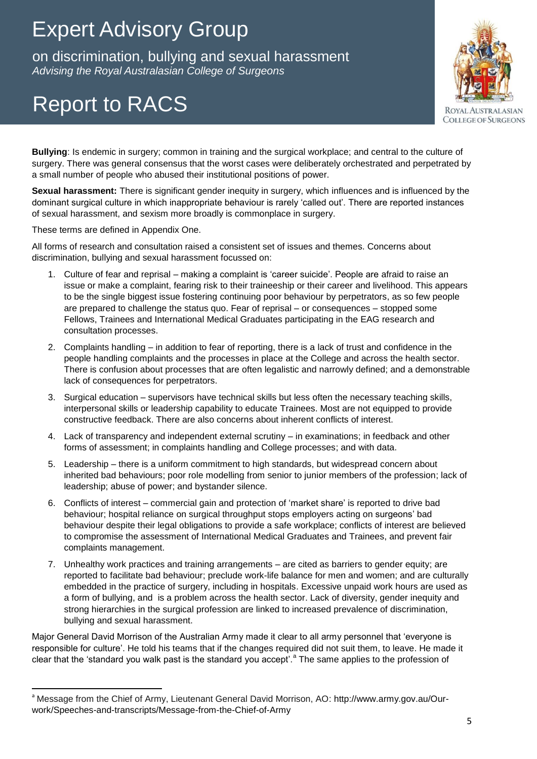on discrimination, bullying and sexual harassment *Advising the Royal Australasian College of Surgeons* on discrimination, bullying and sexual harassment

# Report to RACS



**Bullying**: Is endemic in surgery; common in training and the surgical workplace; and central to the culture of surgery. There was general consensus that the worst cases were deliberately orchestrated and perpetrated by a small number of people who abused their institutional positions of power.

**Sexual harassment:** There is significant gender inequity in surgery, which influences and is influenced by the dominant surgical culture in which inappropriate behaviour is rarely 'called out'. There are reported instances of sexual harassment, and sexism more broadly is commonplace in surgery.

These terms are defined in Appendix One.

 $\overline{\phantom{a}}$ 

All forms of research and consultation raised a consistent set of issues and themes. Concerns about discrimination, bullying and sexual harassment focussed on:

- 1. Culture of fear and reprisal making a complaint is 'career suicide'. People are afraid to raise an issue or make a complaint, fearing risk to their traineeship or their career and livelihood. This appears to be the single biggest issue fostering continuing poor behaviour by perpetrators, as so few people are prepared to challenge the status quo. Fear of reprisal – or consequences – stopped some Fellows, Trainees and International Medical Graduates participating in the EAG research and consultation processes.
- 2. Complaints handling in addition to fear of reporting, there is a lack of trust and confidence in the people handling complaints and the processes in place at the College and across the health sector. There is confusion about processes that are often legalistic and narrowly defined; and a demonstrable lack of consequences for perpetrators.
- 3. Surgical education supervisors have technical skills but less often the necessary teaching skills, interpersonal skills or leadership capability to educate Trainees. Most are not equipped to provide constructive feedback. There are also concerns about inherent conflicts of interest.
- 4. Lack of transparency and independent external scrutiny in examinations; in feedback and other forms of assessment; in complaints handling and College processes; and with data.
- 5. Leadership there is a uniform commitment to high standards, but widespread concern about inherited bad behaviours; poor role modelling from senior to junior members of the profession; lack of leadership; abuse of power; and bystander silence.
- 6. Conflicts of interest commercial gain and protection of 'market share' is reported to drive bad behaviour; hospital reliance on surgical throughput stops employers acting on surgeons' bad behaviour despite their legal obligations to provide a safe workplace; conflicts of interest are believed to compromise the assessment of International Medical Graduates and Trainees, and prevent fair complaints management.
- 7. Unhealthy work practices and training arrangements are cited as barriers to gender equity; are reported to facilitate bad behaviour; preclude work-life balance for men and women; and are culturally embedded in the practice of surgery, including in hospitals. Excessive unpaid work hours are used as a form of bullying, and is a problem across the health sector. Lack of diversity, gender inequity and strong hierarchies in the surgical profession are linked to increased prevalence of discrimination, bullying and sexual harassment.

Major General David Morrison of the Australian Army made it clear to all army personnel that 'everyone is responsible for culture'. He told his teams that if the changes required did not suit them, to leave. He made it clear that the 'standard you walk past is the standard you accept'.<sup>a</sup> The same applies to the profession of

<sup>&</sup>lt;sup>a</sup> Message from the Chief of Army, Lieutenant General David Morrison, AO: http://www.army.gov.au/Ourwork/Speeches-and-transcripts/Message-from-the-Chief-of-Army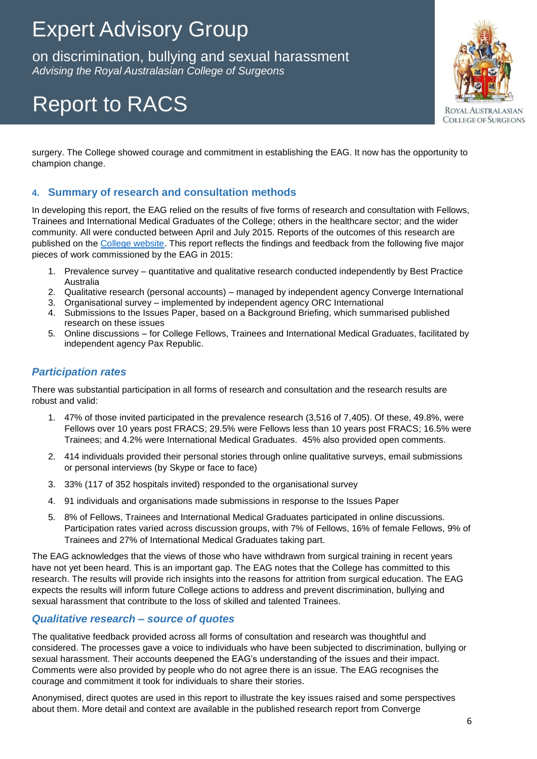on discrimination, bullying and sexual harassment *Advising the Royal Australasian College of Surgeons* on discrimination, bullying and sexual harassment

# Report to RACS



surgery. The College showed courage and commitment in establishing the EAG. It now has the opportunity to champion change.

### **4. Summary of research and consultation methods**

In developing this report, the EAG relied on the results of five forms of research and consultation with Fellows, Trainees and International Medical Graduates of the College; others in the healthcare sector; and the wider community. All were conducted between April and July 2015. Reports of the outcomes of this research are published on the [College website.](http://www.surgeons.org/about/expert-advisory-group/reporting/) This report reflects the findings and feedback from the following five major pieces of work commissioned by the EAG in 2015:

- 1. Prevalence survey quantitative and qualitative research conducted independently by Best Practice Australia
- 2. Qualitative research (personal accounts) managed by independent agency Converge International
- 3. Organisational survey implemented by independent agency ORC International
- 4. Submissions to the Issues Paper, based on a Background Briefing, which summarised published research on these issues
- 5. Online discussions for College Fellows, Trainees and International Medical Graduates, facilitated by independent agency Pax Republic.

### *Participation rates*

There was substantial participation in all forms of research and consultation and the research results are robust and valid:

- 1. 47% of those invited participated in the prevalence research (3,516 of 7,405). Of these, 49.8%, were Fellows over 10 years post FRACS; 29.5% were Fellows less than 10 years post FRACS; 16.5% were Trainees; and 4.2% were International Medical Graduates. 45% also provided open comments.
- 2. 414 individuals provided their personal stories through online qualitative surveys, email submissions or personal interviews (by Skype or face to face)
- 3. 33% (117 of 352 hospitals invited) responded to the organisational survey
- 4. 91 individuals and organisations made submissions in response to the Issues Paper
- 5. 8% of Fellows, Trainees and International Medical Graduates participated in online discussions. Participation rates varied across discussion groups, with 7% of Fellows, 16% of female Fellows, 9% of Trainees and 27% of International Medical Graduates taking part.

The EAG acknowledges that the views of those who have withdrawn from surgical training in recent years have not yet been heard. This is an important gap. The EAG notes that the College has committed to this research. The results will provide rich insights into the reasons for attrition from surgical education. The EAG expects the results will inform future College actions to address and prevent discrimination, bullying and sexual harassment that contribute to the loss of skilled and talented Trainees.

### *Qualitative research – source of quotes*

The qualitative feedback provided across all forms of consultation and research was thoughtful and considered. The processes gave a voice to individuals who have been subjected to discrimination, bullying or sexual harassment. Their accounts deepened the EAG's understanding of the issues and their impact. Comments were also provided by people who do not agree there is an issue. The EAG recognises the courage and commitment it took for individuals to share their stories.

Anonymised, direct quotes are used in this report to illustrate the key issues raised and some perspectives about them. More detail and context are available in the published research report from Converge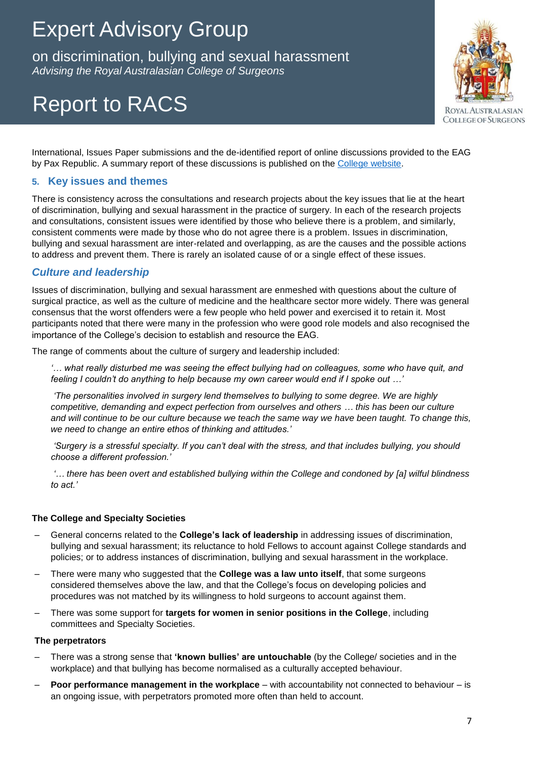on discrimination, bullying and sexual harassment *Advising the Royal Australasian College of Surgeons* on discrimination, bullying and sexual harassment

# Report to RACS



International, Issues Paper submissions and the de-identified report of online discussions provided to the EAG by Pax Republic. A summary report of these discussions is published on the [College website.](http://www.surgeons.org/about/expert-advisory-group/reporting/)

### **5. Key issues and themes**

There is consistency across the consultations and research projects about the key issues that lie at the heart of discrimination, bullying and sexual harassment in the practice of surgery. In each of the research projects and consultations, consistent issues were identified by those who believe there is a problem, and similarly, consistent comments were made by those who do not agree there is a problem. Issues in discrimination, bullying and sexual harassment are inter-related and overlapping, as are the causes and the possible actions to address and prevent them. There is rarely an isolated cause of or a single effect of these issues.

### *Culture and leadership*

Issues of discrimination, bullying and sexual harassment are enmeshed with questions about the culture of surgical practice, as well as the culture of medicine and the healthcare sector more widely. There was general consensus that the worst offenders were a few people who held power and exercised it to retain it. Most participants noted that there were many in the profession who were good role models and also recognised the importance of the College's decision to establish and resource the EAG.

The range of comments about the culture of surgery and leadership included:

*'… what really disturbed me was seeing the effect bullying had on colleagues, some who have quit, and feeling I couldn't do anything to help because my own career would end if I spoke out …'*

*'The personalities involved in surgery lend themselves to bullying to some degree. We are highly competitive, demanding and expect perfection from ourselves and others … this has been our culture and will continue to be our culture because we teach the same way we have been taught. To change this, we need to change an entire ethos of thinking and attitudes.'*

*'Surgery is a stressful specialty. If you can't deal with the stress, and that includes bullying, you should choose a different profession.'*

*'… there has been overt and established bullying within the College and condoned by [a] wilful blindness to act.'*

#### **The College and Specialty Societies**

- General concerns related to the **College's lack of leadership** in addressing issues of discrimination, bullying and sexual harassment; its reluctance to hold Fellows to account against College standards and policies; or to address instances of discrimination, bullying and sexual harassment in the workplace.
- There were many who suggested that the **College was a law unto itself**, that some surgeons considered themselves above the law, and that the College's focus on developing policies and procedures was not matched by its willingness to hold surgeons to account against them.
- There was some support for **targets for women in senior positions in the College**, including committees and Specialty Societies.

#### **The perpetrators**

- There was a strong sense that **'known bullies' are untouchable** (by the College/ societies and in the workplace) and that bullying has become normalised as a culturally accepted behaviour.
- **Poor performance management in the workplace** with accountability not connected to behaviour is an ongoing issue, with perpetrators promoted more often than held to account.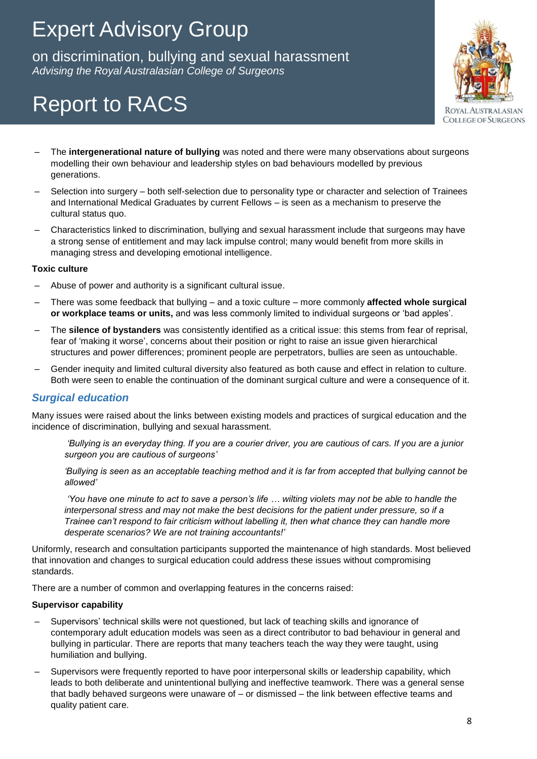on discrimination, bullying and sexual harassment *Advising the Royal Australasian College of Surgeons* on discrimination, bullying and sexual harassment

# Report to RACS



- The **intergenerational nature of bullying** was noted and there were many observations about surgeons modelling their own behaviour and leadership styles on bad behaviours modelled by previous generations.
- Selection into surgery both self-selection due to personality type or character and selection of Trainees and International Medical Graduates by current Fellows – is seen as a mechanism to preserve the cultural status quo.
- Characteristics linked to discrimination, bullying and sexual harassment include that surgeons may have a strong sense of entitlement and may lack impulse control; many would benefit from more skills in managing stress and developing emotional intelligence.

#### **Toxic culture**

- Abuse of power and authority is a significant cultural issue.
- There was some feedback that bullying and a toxic culture more commonly **affected whole surgical or workplace teams or units,** and was less commonly limited to individual surgeons or 'bad apples'.
- The **silence of bystanders** was consistently identified as a critical issue: this stems from fear of reprisal, fear of 'making it worse', concerns about their position or right to raise an issue given hierarchical structures and power differences; prominent people are perpetrators, bullies are seen as untouchable.
- Gender inequity and limited cultural diversity also featured as both cause and effect in relation to culture. Both were seen to enable the continuation of the dominant surgical culture and were a consequence of it.

#### *Surgical education*

Many issues were raised about the links between existing models and practices of surgical education and the incidence of discrimination, bullying and sexual harassment.

*'Bullying is an everyday thing. If you are a courier driver, you are cautious of cars. If you are a junior surgeon you are cautious of surgeons'*

*'Bullying is seen as an acceptable teaching method and it is far from accepted that bullying cannot be allowed'*

*'You have one minute to act to save a person's life … wilting violets may not be able to handle the interpersonal stress and may not make the best decisions for the patient under pressure, so if a Trainee can't respond to fair criticism without labelling it, then what chance they can handle more desperate scenarios? We are not training accountants!'*

Uniformly, research and consultation participants supported the maintenance of high standards. Most believed that innovation and changes to surgical education could address these issues without compromising standards.

There are a number of common and overlapping features in the concerns raised:

#### **Supervisor capability**

- Supervisors' technical skills were not questioned, but lack of teaching skills and ignorance of contemporary adult education models was seen as a direct contributor to bad behaviour in general and bullying in particular. There are reports that many teachers teach the way they were taught, using humiliation and bullying.
- Supervisors were frequently reported to have poor interpersonal skills or leadership capability, which leads to both deliberate and unintentional bullying and ineffective teamwork. There was a general sense that badly behaved surgeons were unaware of – or dismissed – the link between effective teams and quality patient care.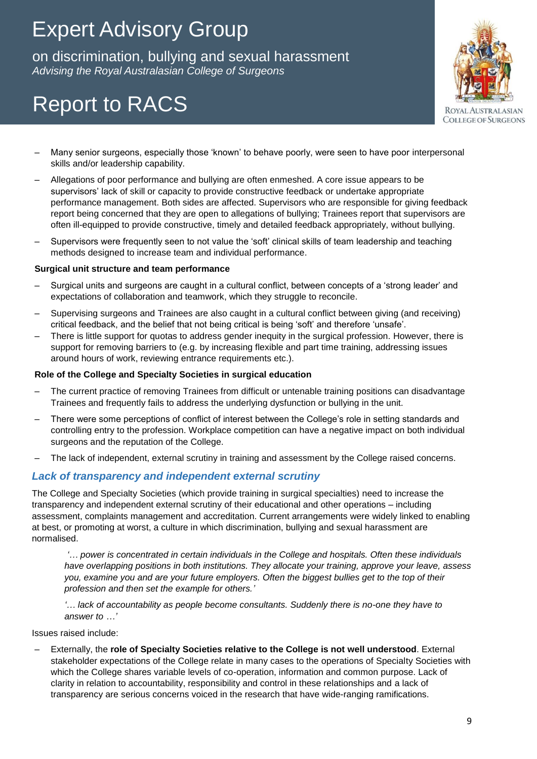on discrimination, bullying and sexual harassment *Advising the Royal Australasian College of Surgeons* on discrimination, bullying and sexual harassment

# Report to RACS



- Many senior surgeons, especially those 'known' to behave poorly, were seen to have poor interpersonal skills and/or leadership capability.
- Allegations of poor performance and bullying are often enmeshed. A core issue appears to be supervisors' lack of skill or capacity to provide constructive feedback or undertake appropriate performance management. Both sides are affected. Supervisors who are responsible for giving feedback report being concerned that they are open to allegations of bullying; Trainees report that supervisors are often ill-equipped to provide constructive, timely and detailed feedback appropriately, without bullying.
- Supervisors were frequently seen to not value the 'soft' clinical skills of team leadership and teaching methods designed to increase team and individual performance.

#### **Surgical unit structure and team performance**

- Surgical units and surgeons are caught in a cultural conflict, between concepts of a 'strong leader' and expectations of collaboration and teamwork, which they struggle to reconcile.
- Supervising surgeons and Trainees are also caught in a cultural conflict between giving (and receiving) critical feedback, and the belief that not being critical is being 'soft' and therefore 'unsafe'.
- There is little support for quotas to address gender inequity in the surgical profession. However, there is support for removing barriers to (e.g. by increasing flexible and part time training, addressing issues around hours of work, reviewing entrance requirements etc.).

#### **Role of the College and Specialty Societies in surgical education**

- The current practice of removing Trainees from difficult or untenable training positions can disadvantage Trainees and frequently fails to address the underlying dysfunction or bullying in the unit.
- There were some perceptions of conflict of interest between the College's role in setting standards and controlling entry to the profession. Workplace competition can have a negative impact on both individual surgeons and the reputation of the College.
- The lack of independent, external scrutiny in training and assessment by the College raised concerns.

#### *Lack of transparency and independent external scrutiny*

The College and Specialty Societies (which provide training in surgical specialties) need to increase the transparency and independent external scrutiny of their educational and other operations – including assessment, complaints management and accreditation. Current arrangements were widely linked to enabling at best, or promoting at worst, a culture in which discrimination, bullying and sexual harassment are normalised.

*'… power is concentrated in certain individuals in the College and hospitals. Often these individuals have overlapping positions in both institutions. They allocate your training, approve your leave, assess you, examine you and are your future employers. Often the biggest bullies get to the top of their profession and then set the example for others.'*

*'… lack of accountability as people become consultants. Suddenly there is no-one they have to answer to …'*

Issues raised include:

– Externally, the **role of Specialty Societies relative to the College is not well understood**. External stakeholder expectations of the College relate in many cases to the operations of Specialty Societies with which the College shares variable levels of co-operation, information and common purpose. Lack of clarity in relation to accountability, responsibility and control in these relationships and a lack of transparency are serious concerns voiced in the research that have wide-ranging ramifications.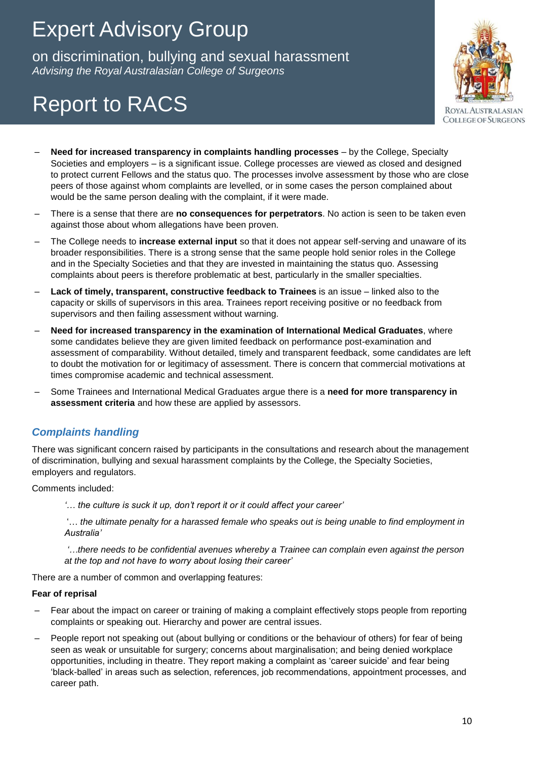on discrimination, bullying and sexual harassment *Advising the Royal Australasian College of Surgeons* on discrimination, bullying and sexual harassment

# Report to RACS



- **Need for increased transparency in complaints handling processes** by the College, Specialty Societies and employers – is a significant issue. College processes are viewed as closed and designed to protect current Fellows and the status quo. The processes involve assessment by those who are close peers of those against whom complaints are levelled, or in some cases the person complained about would be the same person dealing with the complaint, if it were made.
- There is a sense that there are **no consequences for perpetrators**. No action is seen to be taken even against those about whom allegations have been proven.
- The College needs to **increase external input** so that it does not appear self-serving and unaware of its broader responsibilities. There is a strong sense that the same people hold senior roles in the College and in the Specialty Societies and that they are invested in maintaining the status quo. Assessing complaints about peers is therefore problematic at best, particularly in the smaller specialties.
- **Lack of timely, transparent, constructive feedback to Trainees** is an issue linked also to the capacity or skills of supervisors in this area. Trainees report receiving positive or no feedback from supervisors and then failing assessment without warning.
- **Need for increased transparency in the examination of International Medical Graduates**, where some candidates believe they are given limited feedback on performance post-examination and assessment of comparability. Without detailed, timely and transparent feedback, some candidates are left to doubt the motivation for or legitimacy of assessment. There is concern that commercial motivations at times compromise academic and technical assessment.
- Some Trainees and International Medical Graduates argue there is a **need for more transparency in assessment criteria** and how these are applied by assessors.

### *Complaints handling*

There was significant concern raised by participants in the consultations and research about the management of discrimination, bullying and sexual harassment complaints by the College, the Specialty Societies, employers and regulators.

#### Comments included:

*'… the culture is suck it up, don't report it or it could affect your career'*

'… *the ultimate penalty for a harassed female who speaks out is being unable to find employment in Australia'*

*'…there needs to be confidential avenues whereby a Trainee can complain even against the person at the top and not have to worry about losing their career'*

There are a number of common and overlapping features:

#### **Fear of reprisal**

- Fear about the impact on career or training of making a complaint effectively stops people from reporting complaints or speaking out. Hierarchy and power are central issues.
- People report not speaking out (about bullying or conditions or the behaviour of others) for fear of being seen as weak or unsuitable for surgery; concerns about marginalisation; and being denied workplace opportunities, including in theatre. They report making a complaint as 'career suicide' and fear being 'black-balled' in areas such as selection, references, job recommendations, appointment processes, and career path.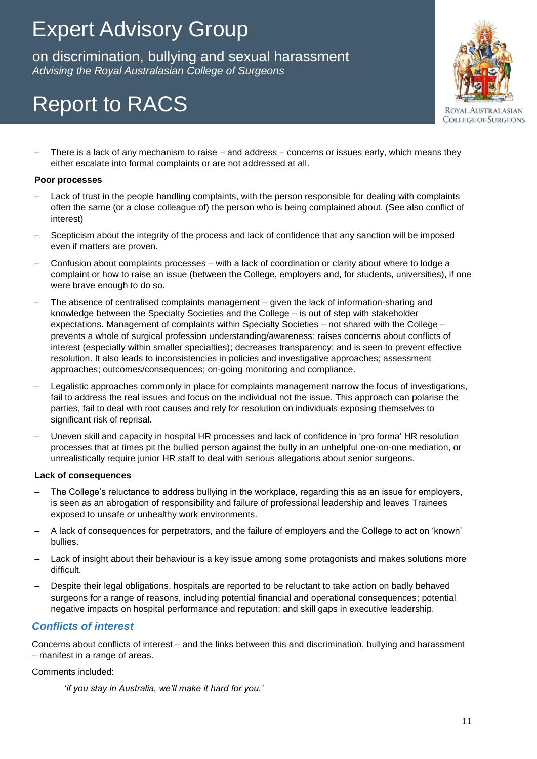on discrimination, bullying and sexual harassment *Advising the Royal Australasian College of Surgeons* on discrimination, bullying and sexual harassment

# Report to RACS

- **ROYAL AUSTRALASIAN COLLEGE OF SURGEONS**
- There is a lack of any mechanism to raise and address concerns or issues early, which means they either escalate into formal complaints or are not addressed at all.

#### **Poor processes**

- Lack of trust in the people handling complaints, with the person responsible for dealing with complaints often the same (or a close colleague of) the person who is being complained about. (See also conflict of interest)
- Scepticism about the integrity of the process and lack of confidence that any sanction will be imposed even if matters are proven.
- Confusion about complaints processes with a lack of coordination or clarity about where to lodge a complaint or how to raise an issue (between the College, employers and, for students, universities), if one were brave enough to do so.
- The absence of centralised complaints management given the lack of information-sharing and knowledge between the Specialty Societies and the College – is out of step with stakeholder expectations. Management of complaints within Specialty Societies – not shared with the College – prevents a whole of surgical profession understanding/awareness; raises concerns about conflicts of interest (especially within smaller specialties); decreases transparency; and is seen to prevent effective resolution. It also leads to inconsistencies in policies and investigative approaches; assessment approaches; outcomes/consequences; on-going monitoring and compliance.
- Legalistic approaches commonly in place for complaints management narrow the focus of investigations, fail to address the real issues and focus on the individual not the issue. This approach can polarise the parties, fail to deal with root causes and rely for resolution on individuals exposing themselves to significant risk of reprisal.
- Uneven skill and capacity in hospital HR processes and lack of confidence in 'pro forma' HR resolution processes that at times pit the bullied person against the bully in an unhelpful one-on-one mediation, or unrealistically require junior HR staff to deal with serious allegations about senior surgeons.

#### **Lack of consequences**

- The College's reluctance to address bullying in the workplace, regarding this as an issue for employers, is seen as an abrogation of responsibility and failure of professional leadership and leaves Trainees exposed to unsafe or unhealthy work environments.
- A lack of consequences for perpetrators, and the failure of employers and the College to act on 'known' bullies.
- Lack of insight about their behaviour is a key issue among some protagonists and makes solutions more difficult.
- Despite their legal obligations, hospitals are reported to be reluctant to take action on badly behaved surgeons for a range of reasons, including potential financial and operational consequences; potential negative impacts on hospital performance and reputation; and skill gaps in executive leadership.

### *Conflicts of interest*

Concerns about conflicts of interest – and the links between this and discrimination, bullying and harassment – manifest in a range of areas.

#### Comments included:

'*if you stay in Australia, we'll make it hard for you.'*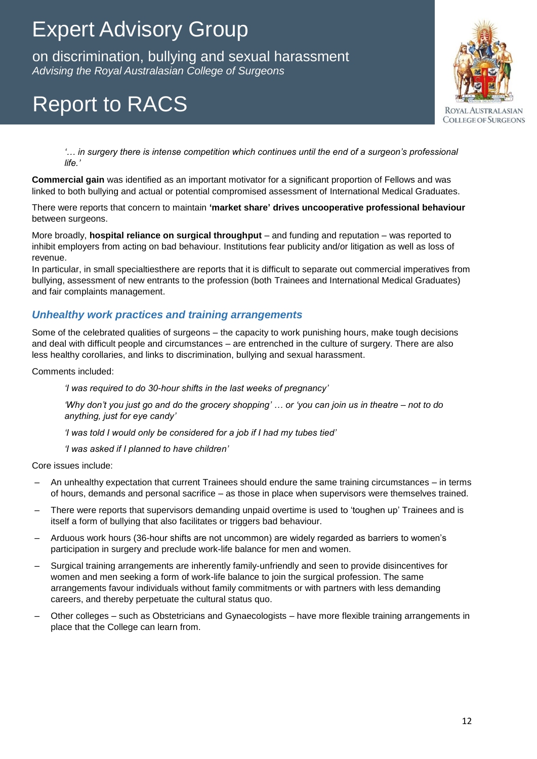on discrimination, bullying and sexual harassment *Advising the Royal Australasian College of Surgeons* on discrimination, bullying and sexual harassment

# Report to RACS



*'… in surgery there is intense competition which continues until the end of a surgeon's professional life.'*

**Commercial gain** was identified as an important motivator for a significant proportion of Fellows and was linked to both bullying and actual or potential compromised assessment of International Medical Graduates.

There were reports that concern to maintain **'market share' drives uncooperative professional behaviour**  between surgeons.

More broadly, **hospital reliance on surgical throughput** – and funding and reputation – was reported to inhibit employers from acting on bad behaviour. Institutions fear publicity and/or litigation as well as loss of revenue.

In particular, in small specialtiesthere are reports that it is difficult to separate out commercial imperatives from bullying, assessment of new entrants to the profession (both Trainees and International Medical Graduates) and fair complaints management.

### *Unhealthy work practices and training arrangements*

Some of the celebrated qualities of surgeons – the capacity to work punishing hours, make tough decisions and deal with difficult people and circumstances – are entrenched in the culture of surgery. There are also less healthy corollaries, and links to discrimination, bullying and sexual harassment.

Comments included:

*'I was required to do 30-hour shifts in the last weeks of pregnancy'*

*'Why don't you just go and do the grocery shopping' … or 'you can join us in theatre – not to do anything, just for eye candy'*

*'I was told I would only be considered for a job if I had my tubes tied'*

*'I was asked if I planned to have children'*

Core issues include:

- An unhealthy expectation that current Trainees should endure the same training circumstances in terms of hours, demands and personal sacrifice – as those in place when supervisors were themselves trained.
- There were reports that supervisors demanding unpaid overtime is used to 'toughen up' Trainees and is itself a form of bullying that also facilitates or triggers bad behaviour.
- Arduous work hours (36-hour shifts are not uncommon) are widely regarded as barriers to women's participation in surgery and preclude work-life balance for men and women.
- Surgical training arrangements are inherently family-unfriendly and seen to provide disincentives for women and men seeking a form of work-life balance to join the surgical profession. The same arrangements favour individuals without family commitments or with partners with less demanding careers, and thereby perpetuate the cultural status quo.
- Other colleges such as Obstetricians and Gynaecologists have more flexible training arrangements in place that the College can learn from.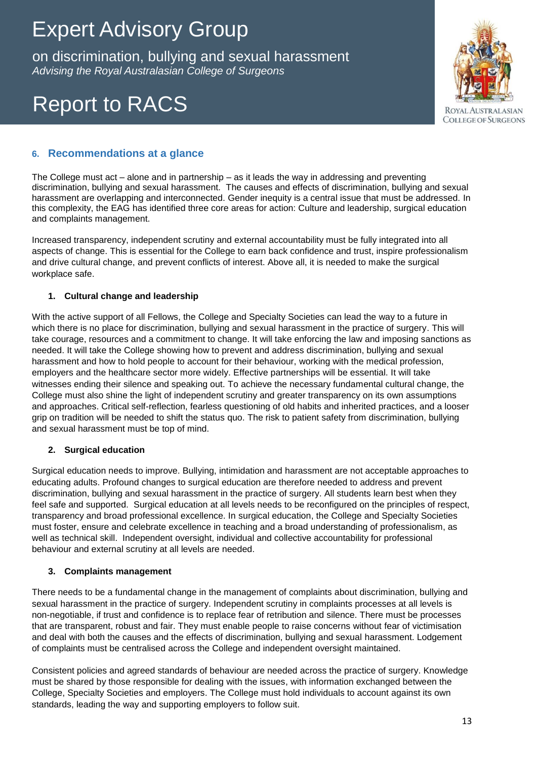on discrimination, bullying and sexual harassment *Advising the Royal Australasian College of Surgeons* on discrimination, bullying and sexual harassment

# Report to RACS



### **6. Recommendations at a glance**

The College must act – alone and in partnership – as it leads the way in addressing and preventing discrimination, bullying and sexual harassment. The causes and effects of discrimination, bullying and sexual harassment are overlapping and interconnected. Gender inequity is a central issue that must be addressed. In this complexity, the EAG has identified three core areas for action: Culture and leadership, surgical education and complaints management.

Increased transparency, independent scrutiny and external accountability must be fully integrated into all aspects of change. This is essential for the College to earn back confidence and trust, inspire professionalism and drive cultural change, and prevent conflicts of interest. Above all, it is needed to make the surgical workplace safe.

#### **1. Cultural change and leadership**

With the active support of all Fellows, the College and Specialty Societies can lead the way to a future in which there is no place for discrimination, bullying and sexual harassment in the practice of surgery. This will take courage, resources and a commitment to change. It will take enforcing the law and imposing sanctions as needed. It will take the College showing how to prevent and address discrimination, bullying and sexual harassment and how to hold people to account for their behaviour, working with the medical profession, employers and the healthcare sector more widely. Effective partnerships will be essential. It will take witnesses ending their silence and speaking out. To achieve the necessary fundamental cultural change, the College must also shine the light of independent scrutiny and greater transparency on its own assumptions and approaches. Critical self-reflection, fearless questioning of old habits and inherited practices, and a looser grip on tradition will be needed to shift the status quo. The risk to patient safety from discrimination, bullying and sexual harassment must be top of mind.

#### **2. Surgical education**

Surgical education needs to improve. Bullying, intimidation and harassment are not acceptable approaches to educating adults. Profound changes to surgical education are therefore needed to address and prevent discrimination, bullying and sexual harassment in the practice of surgery. All students learn best when they feel safe and supported. Surgical education at all levels needs to be reconfigured on the principles of respect, transparency and broad professional excellence. In surgical education, the College and Specialty Societies must foster, ensure and celebrate excellence in teaching and a broad understanding of professionalism, as well as technical skill. Independent oversight, individual and collective accountability for professional behaviour and external scrutiny at all levels are needed.

#### **3. Complaints management**

There needs to be a fundamental change in the management of complaints about discrimination, bullying and sexual harassment in the practice of surgery. Independent scrutiny in complaints processes at all levels is non-negotiable, if trust and confidence is to replace fear of retribution and silence. There must be processes that are transparent, robust and fair. They must enable people to raise concerns without fear of victimisation and deal with both the causes and the effects of discrimination, bullying and sexual harassment. Lodgement of complaints must be centralised across the College and independent oversight maintained.

Consistent policies and agreed standards of behaviour are needed across the practice of surgery. Knowledge must be shared by those responsible for dealing with the issues, with information exchanged between the College, Specialty Societies and employers. The College must hold individuals to account against its own standards, leading the way and supporting employers to follow suit.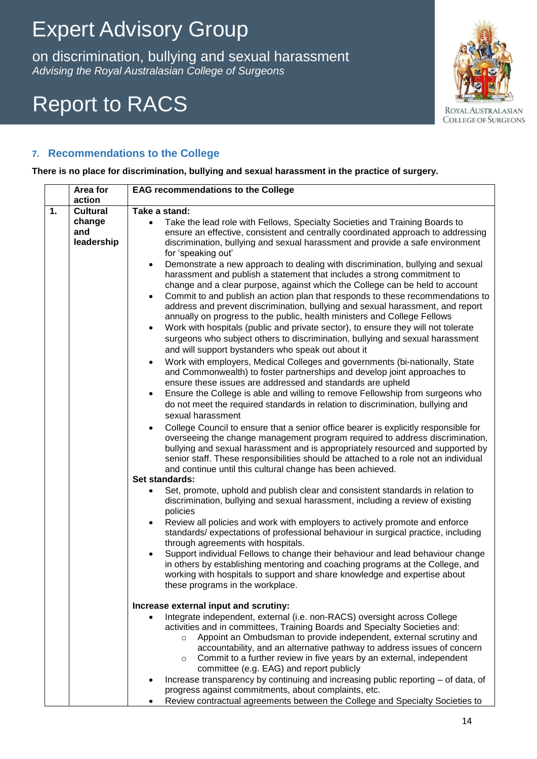on discrimination, bullying and sexual harassment *Advising the Royal Australasian College of Surgeons* on discrimination, bullying and sexual harassment

# Report to RACS



### **7. Recommendations to the College**

**There is no place for discrimination, bullying and sexual harassment in the practice of surgery.**

|    | Area for        | <b>EAG recommendations to the College</b>                                                                                                                  |
|----|-----------------|------------------------------------------------------------------------------------------------------------------------------------------------------------|
|    | action          |                                                                                                                                                            |
| 1. | <b>Cultural</b> | Take a stand:                                                                                                                                              |
|    | change          | Take the lead role with Fellows, Specialty Societies and Training Boards to<br>$\bullet$                                                                   |
|    | and             | ensure an effective, consistent and centrally coordinated approach to addressing                                                                           |
|    | leadership      | discrimination, bullying and sexual harassment and provide a safe environment                                                                              |
|    |                 | for 'speaking out'                                                                                                                                         |
|    |                 | Demonstrate a new approach to dealing with discrimination, bullying and sexual<br>$\bullet$                                                                |
|    |                 | harassment and publish a statement that includes a strong commitment to                                                                                    |
|    |                 | change and a clear purpose, against which the College can be held to account                                                                               |
|    |                 | Commit to and publish an action plan that responds to these recommendations to                                                                             |
|    |                 | address and prevent discrimination, bullying and sexual harassment, and report<br>annually on progress to the public, health ministers and College Fellows |
|    |                 | Work with hospitals (public and private sector), to ensure they will not tolerate<br>$\bullet$                                                             |
|    |                 | surgeons who subject others to discrimination, bullying and sexual harassment                                                                              |
|    |                 | and will support bystanders who speak out about it                                                                                                         |
|    |                 | Work with employers, Medical Colleges and governments (bi-nationally, State                                                                                |
|    |                 | $\bullet$<br>and Commonwealth) to foster partnerships and develop joint approaches to                                                                      |
|    |                 | ensure these issues are addressed and standards are upheld                                                                                                 |
|    |                 | Ensure the College is able and willing to remove Fellowship from surgeons who<br>$\bullet$                                                                 |
|    |                 | do not meet the required standards in relation to discrimination, bullying and                                                                             |
|    |                 | sexual harassment                                                                                                                                          |
|    |                 | College Council to ensure that a senior office bearer is explicitly responsible for<br>$\bullet$                                                           |
|    |                 | overseeing the change management program required to address discrimination,                                                                               |
|    |                 | bullying and sexual harassment and is appropriately resourced and supported by                                                                             |
|    |                 | senior staff. These responsibilities should be attached to a role not an individual                                                                        |
|    |                 | and continue until this cultural change has been achieved.                                                                                                 |
|    |                 | Set standards:                                                                                                                                             |
|    |                 | Set, promote, uphold and publish clear and consistent standards in relation to                                                                             |
|    |                 | discrimination, bullying and sexual harassment, including a review of existing                                                                             |
|    |                 | policies                                                                                                                                                   |
|    |                 | Review all policies and work with employers to actively promote and enforce                                                                                |
|    |                 | standards/expectations of professional behaviour in surgical practice, including                                                                           |
|    |                 | through agreements with hospitals.                                                                                                                         |
|    |                 | Support individual Fellows to change their behaviour and lead behaviour change                                                                             |
|    |                 | in others by establishing mentoring and coaching programs at the College, and<br>working with hospitals to support and share knowledge and expertise about |
|    |                 | these programs in the workplace.                                                                                                                           |
|    |                 |                                                                                                                                                            |
|    |                 | Increase external input and scrutiny:                                                                                                                      |
|    |                 | Integrate independent, external (i.e. non-RACS) oversight across College                                                                                   |
|    |                 | activities and in committees, Training Boards and Specialty Societies and:                                                                                 |
|    |                 | Appoint an Ombudsman to provide independent, external scrutiny and<br>$\circ$                                                                              |
|    |                 | accountability, and an alternative pathway to address issues of concern                                                                                    |
|    |                 | Commit to a further review in five years by an external, independent<br>$\circ$                                                                            |
|    |                 | committee (e.g. EAG) and report publicly                                                                                                                   |
|    |                 | Increase transparency by continuing and increasing public reporting - of data, of                                                                          |
|    |                 | progress against commitments, about complaints, etc.                                                                                                       |
|    |                 | Review contractual agreements between the College and Specialty Societies to                                                                               |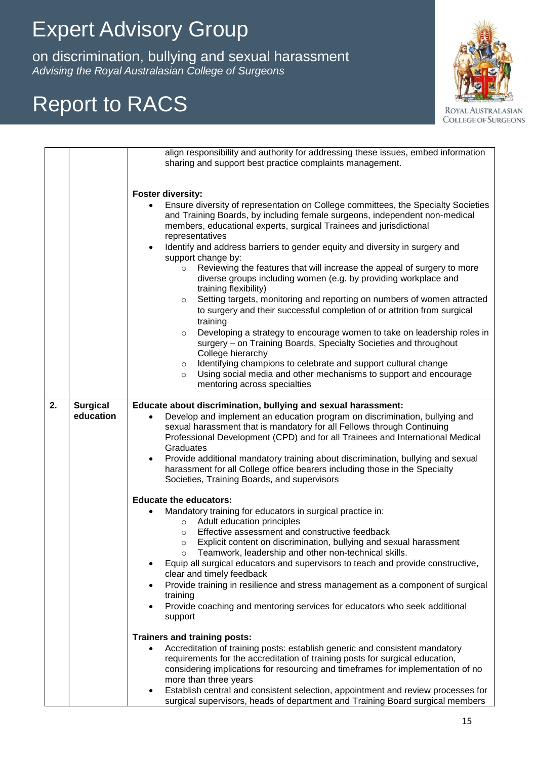on discrimination, bullying and sexual harassment *Advising the Royal Australasian College of Surgeons* on discrimination, bullying and sexual harassment

## Report to RACS



|    |                 | align responsibility and authority for addressing these issues, embed information<br>sharing and support best practice complaints management.                                                                                                                                                                                                                                                                                                                                                |
|----|-----------------|----------------------------------------------------------------------------------------------------------------------------------------------------------------------------------------------------------------------------------------------------------------------------------------------------------------------------------------------------------------------------------------------------------------------------------------------------------------------------------------------|
|    |                 | <b>Foster diversity:</b>                                                                                                                                                                                                                                                                                                                                                                                                                                                                     |
|    |                 | Ensure diversity of representation on College committees, the Specialty Societies<br>$\bullet$<br>and Training Boards, by including female surgeons, independent non-medical<br>members, educational experts, surgical Trainees and jurisdictional<br>representatives                                                                                                                                                                                                                        |
|    |                 | Identify and address barriers to gender equity and diversity in surgery and<br>$\bullet$<br>support change by:                                                                                                                                                                                                                                                                                                                                                                               |
|    |                 | Reviewing the features that will increase the appeal of surgery to more<br>$\circ$<br>diverse groups including women (e.g. by providing workplace and<br>training flexibility)                                                                                                                                                                                                                                                                                                               |
|    |                 | Setting targets, monitoring and reporting on numbers of women attracted<br>$\circ$<br>to surgery and their successful completion of or attrition from surgical<br>training                                                                                                                                                                                                                                                                                                                   |
|    |                 | Developing a strategy to encourage women to take on leadership roles in<br>$\circ$<br>surgery - on Training Boards, Specialty Societies and throughout<br>College hierarchy                                                                                                                                                                                                                                                                                                                  |
|    |                 | Identifying champions to celebrate and support cultural change<br>$\circ$<br>Using social media and other mechanisms to support and encourage<br>$\circ$<br>mentoring across specialties                                                                                                                                                                                                                                                                                                     |
| 2. | <b>Surgical</b> | Educate about discrimination, bullying and sexual harassment:                                                                                                                                                                                                                                                                                                                                                                                                                                |
|    | education       | Develop and implement an education program on discrimination, bullying and<br>$\bullet$<br>sexual harassment that is mandatory for all Fellows through Continuing<br>Professional Development (CPD) and for all Trainees and International Medical<br>Graduates<br>Provide additional mandatory training about discrimination, bullying and sexual<br>$\bullet$<br>harassment for all College office bearers including those in the Specialty<br>Societies, Training Boards, and supervisors |
|    |                 | <b>Educate the educators:</b>                                                                                                                                                                                                                                                                                                                                                                                                                                                                |
|    |                 | Mandatory training for educators in surgical practice in:<br>Adult education principles<br>$\circ$                                                                                                                                                                                                                                                                                                                                                                                           |
|    |                 | Effective assessment and constructive feedback<br>$\circ$<br>Explicit content on discrimination, bullying and sexual harassment<br>$\circ$<br>Teamwork, leadership and other non-technical skills.<br>$\circ$                                                                                                                                                                                                                                                                                |
|    |                 | Equip all surgical educators and supervisors to teach and provide constructive,<br>clear and timely feedback                                                                                                                                                                                                                                                                                                                                                                                 |
|    |                 | Provide training in resilience and stress management as a component of surgical<br>training                                                                                                                                                                                                                                                                                                                                                                                                  |
|    |                 | Provide coaching and mentoring services for educators who seek additional<br>support                                                                                                                                                                                                                                                                                                                                                                                                         |
|    |                 | <b>Trainers and training posts:</b>                                                                                                                                                                                                                                                                                                                                                                                                                                                          |
|    |                 | Accreditation of training posts: establish generic and consistent mandatory<br>$\bullet$<br>requirements for the accreditation of training posts for surgical education,<br>considering implications for resourcing and timeframes for implementation of no<br>more than three years                                                                                                                                                                                                         |
|    |                 | Establish central and consistent selection, appointment and review processes for<br>$\bullet$<br>surgical supervisors, heads of department and Training Board surgical members                                                                                                                                                                                                                                                                                                               |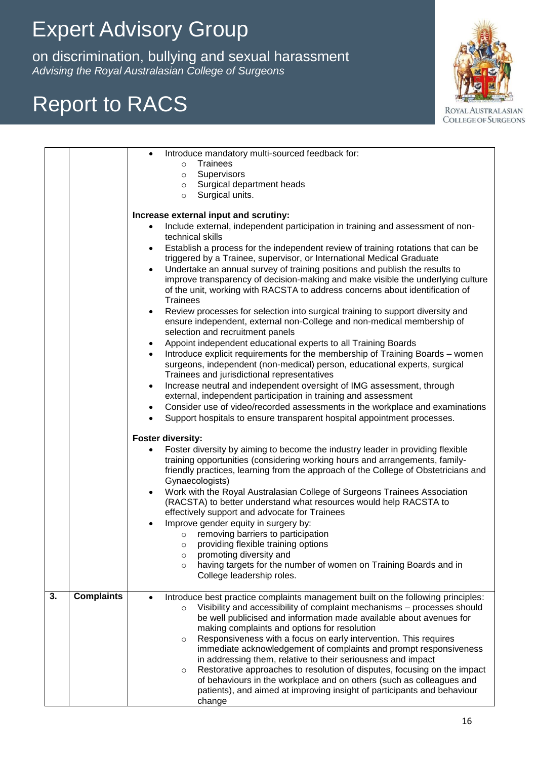on discrimination, bullying and sexual harassments.<br>Wising the Royal Australasian College of Surgeons on discrimination, bullying and sexual harassment *Advising the Royal Australasian College of Surgeons*

## Report to RACS



|    |                   | Introduce mandatory multi-sourced feedback for:<br>Trainees<br>$\circ$<br>Supervisors<br>$\circ$<br>Surgical department heads<br>$\circ$<br>Surgical units.<br>$\circ$<br>Increase external input and scrutiny:<br>Include external, independent participation in training and assessment of non-<br>technical skills<br>Establish a process for the independent review of training rotations that can be<br>٠<br>triggered by a Trainee, supervisor, or International Medical Graduate<br>Undertake an annual survey of training positions and publish the results to<br>$\bullet$<br>improve transparency of decision-making and make visible the underlying culture<br>of the unit, working with RACSTA to address concerns about identification of<br><b>Trainees</b><br>Review processes for selection into surgical training to support diversity and<br>$\bullet$<br>ensure independent, external non-College and non-medical membership of<br>selection and recruitment panels<br>Appoint independent educational experts to all Training Boards<br>$\bullet$<br>Introduce explicit requirements for the membership of Training Boards - women<br>surgeons, independent (non-medical) person, educational experts, surgical<br>Trainees and jurisdictional representatives<br>Increase neutral and independent oversight of IMG assessment, through<br>$\bullet$<br>external, independent participation in training and assessment<br>Consider use of video/recorded assessments in the workplace and examinations<br>$\bullet$<br>Support hospitals to ensure transparent hospital appointment processes.<br>$\bullet$<br><b>Foster diversity:</b><br>Foster diversity by aiming to become the industry leader in providing flexible<br>training opportunities (considering working hours and arrangements, family-<br>friendly practices, learning from the approach of the College of Obstetricians and<br>Gynaecologists)<br>Work with the Royal Australasian College of Surgeons Trainees Association<br>$\bullet$<br>(RACSTA) to better understand what resources would help RACSTA to<br>effectively support and advocate for Trainees<br>Improve gender equity in surgery by:<br>removing barriers to participation<br>$\circ$<br>providing flexible training options<br>$\circ$<br>promoting diversity and<br>$\circ$<br>having targets for the number of women on Training Boards and in<br>$\circ$<br>College leadership roles. |
|----|-------------------|----------------------------------------------------------------------------------------------------------------------------------------------------------------------------------------------------------------------------------------------------------------------------------------------------------------------------------------------------------------------------------------------------------------------------------------------------------------------------------------------------------------------------------------------------------------------------------------------------------------------------------------------------------------------------------------------------------------------------------------------------------------------------------------------------------------------------------------------------------------------------------------------------------------------------------------------------------------------------------------------------------------------------------------------------------------------------------------------------------------------------------------------------------------------------------------------------------------------------------------------------------------------------------------------------------------------------------------------------------------------------------------------------------------------------------------------------------------------------------------------------------------------------------------------------------------------------------------------------------------------------------------------------------------------------------------------------------------------------------------------------------------------------------------------------------------------------------------------------------------------------------------------------------------------------------------------------------------------------------------------------------------------------------------------------------------------------------------------------------------------------------------------------------------------------------------------------------------------------------------------------------------------------------------------------------------------------------------------------------------------------------------------------------------------------------------------------|
| 3. | <b>Complaints</b> | Introduce best practice complaints management built on the following principles:<br>Visibility and accessibility of complaint mechanisms - processes should<br>$\circ$<br>be well publicised and information made available about avenues for<br>making complaints and options for resolution<br>Responsiveness with a focus on early intervention. This requires<br>$\circ$<br>immediate acknowledgement of complaints and prompt responsiveness<br>in addressing them, relative to their seriousness and impact<br>Restorative approaches to resolution of disputes, focusing on the impact<br>$\circ$<br>of behaviours in the workplace and on others (such as colleagues and<br>patients), and aimed at improving insight of participants and behaviour<br>change                                                                                                                                                                                                                                                                                                                                                                                                                                                                                                                                                                                                                                                                                                                                                                                                                                                                                                                                                                                                                                                                                                                                                                                                                                                                                                                                                                                                                                                                                                                                                                                                                                                                              |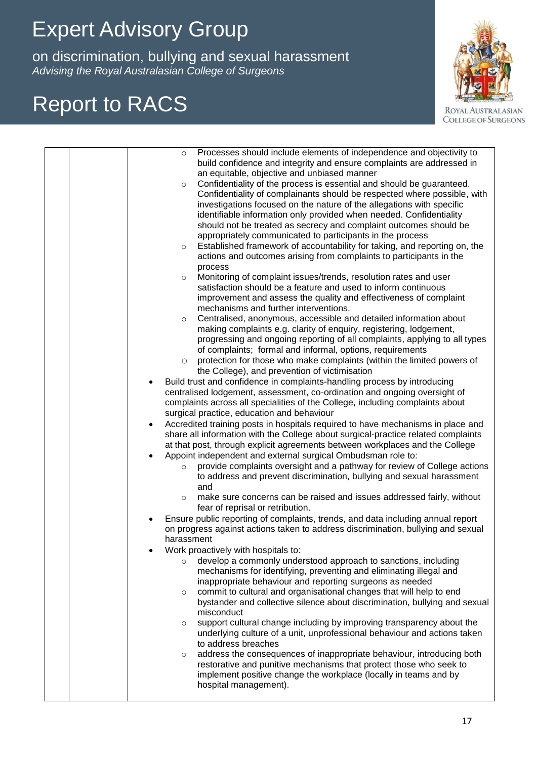on discrimination, bullying and sexual harassments.<br>Wising the Royal Australasian College of Surgeons on discrimination, bullying and sexual harassment *Advising the Royal Australasian College of Surgeons*

## Report to RACS



| Processes should include elements of independence and objectivity to<br>$\circ$<br>build confidence and integrity and ensure complaints are addressed in<br>an equitable, objective and unbiased manner<br>Confidentiality of the process is essential and should be guaranteed.<br>$\circ$<br>Confidentiality of complainants should be respected where possible, with<br>investigations focused on the nature of the allegations with specific<br>identifiable information only provided when needed. Confidentiality<br>should not be treated as secrecy and complaint outcomes should be<br>appropriately communicated to participants in the process<br>Established framework of accountability for taking, and reporting on, the<br>$\circ$<br>actions and outcomes arising from complaints to participants in the<br>process<br>Monitoring of complaint issues/trends, resolution rates and user<br>$\circ$<br>satisfaction should be a feature and used to inform continuous<br>improvement and assess the quality and effectiveness of complaint<br>mechanisms and further interventions.<br>Centralised, anonymous, accessible and detailed information about<br>$\circ$<br>making complaints e.g. clarity of enquiry, registering, lodgement,<br>progressing and ongoing reporting of all complaints, applying to all types<br>of complaints; formal and informal, options, requirements<br>protection for those who make complaints (within the limited powers of<br>$\circ$<br>the College), and prevention of victimisation<br>Build trust and confidence in complaints-handling process by introducing<br>$\bullet$<br>centralised lodgement, assessment, co-ordination and ongoing oversight of<br>complaints across all specialities of the College, including complaints about<br>surgical practice, education and behaviour<br>Accredited training posts in hospitals required to have mechanisms in place and<br>$\bullet$<br>share all information with the College about surgical-practice related complaints<br>at that post, through explicit agreements between workplaces and the College<br>Appoint independent and external surgical Ombudsman role to:<br>provide complaints oversight and a pathway for review of College actions<br>$\circ$<br>to address and prevent discrimination, bullying and sexual harassment<br>and<br>make sure concerns can be raised and issues addressed fairly, without<br>$\circ$<br>fear of reprisal or retribution.<br>Ensure public reporting of complaints, trends, and data including annual report<br>on progress against actions taken to address discrimination, bullying and sexual<br>harassment<br>Work proactively with hospitals to:<br>develop a commonly understood approach to sanctions, including<br>$\circ$<br>mechanisms for identifying, preventing and eliminating illegal and<br>inappropriate behaviour and reporting surgeons as needed<br>commit to cultural and organisational changes that will help to end<br>$\circ$<br>bystander and collective silence about discrimination, bullying and sexual<br>misconduct |
|-------------------------------------------------------------------------------------------------------------------------------------------------------------------------------------------------------------------------------------------------------------------------------------------------------------------------------------------------------------------------------------------------------------------------------------------------------------------------------------------------------------------------------------------------------------------------------------------------------------------------------------------------------------------------------------------------------------------------------------------------------------------------------------------------------------------------------------------------------------------------------------------------------------------------------------------------------------------------------------------------------------------------------------------------------------------------------------------------------------------------------------------------------------------------------------------------------------------------------------------------------------------------------------------------------------------------------------------------------------------------------------------------------------------------------------------------------------------------------------------------------------------------------------------------------------------------------------------------------------------------------------------------------------------------------------------------------------------------------------------------------------------------------------------------------------------------------------------------------------------------------------------------------------------------------------------------------------------------------------------------------------------------------------------------------------------------------------------------------------------------------------------------------------------------------------------------------------------------------------------------------------------------------------------------------------------------------------------------------------------------------------------------------------------------------------------------------------------------------------------------------------------------------------------------------------------------------------------------------------------------------------------------------------------------------------------------------------------------------------------------------------------------------------------------------------------------------------------------------------------------------------------------------------------------------------------------------------------------------------------------------------------------------------------------------------------------------------------------------------|
|                                                                                                                                                                                                                                                                                                                                                                                                                                                                                                                                                                                                                                                                                                                                                                                                                                                                                                                                                                                                                                                                                                                                                                                                                                                                                                                                                                                                                                                                                                                                                                                                                                                                                                                                                                                                                                                                                                                                                                                                                                                                                                                                                                                                                                                                                                                                                                                                                                                                                                                                                                                                                                                                                                                                                                                                                                                                                                                                                                                                                                                                                                             |
| support cultural change including by improving transparency about the<br>$\circ$<br>underlying culture of a unit, unprofessional behaviour and actions taken<br>to address breaches<br>address the consequences of inappropriate behaviour, introducing both<br>$\circ$<br>restorative and punitive mechanisms that protect those who seek to<br>implement positive change the workplace (locally in teams and by<br>hospital management).                                                                                                                                                                                                                                                                                                                                                                                                                                                                                                                                                                                                                                                                                                                                                                                                                                                                                                                                                                                                                                                                                                                                                                                                                                                                                                                                                                                                                                                                                                                                                                                                                                                                                                                                                                                                                                                                                                                                                                                                                                                                                                                                                                                                                                                                                                                                                                                                                                                                                                                                                                                                                                                                  |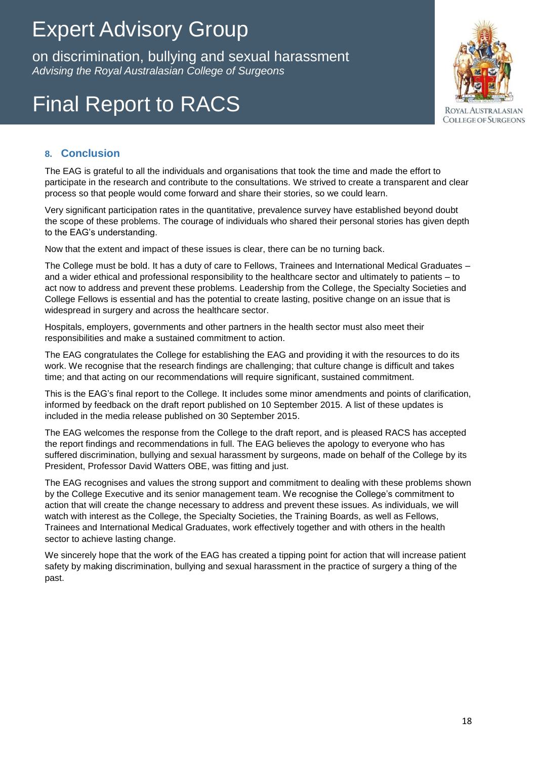on discrimination, bullying and sexual harassment *Advising the Royal Australasian College of Surgeons* on discrimination, bullying and sexual harassment

# Final Report to RACS



### **8. Conclusion**

The EAG is grateful to all the individuals and organisations that took the time and made the effort to participate in the research and contribute to the consultations. We strived to create a transparent and clear process so that people would come forward and share their stories, so we could learn.

Very significant participation rates in the quantitative, prevalence survey have established beyond doubt the scope of these problems. The courage of individuals who shared their personal stories has given depth to the EAG's understanding.

Now that the extent and impact of these issues is clear, there can be no turning back.

The College must be bold. It has a duty of care to Fellows, Trainees and International Medical Graduates – and a wider ethical and professional responsibility to the healthcare sector and ultimately to patients – to act now to address and prevent these problems. Leadership from the College, the Specialty Societies and College Fellows is essential and has the potential to create lasting, positive change on an issue that is widespread in surgery and across the healthcare sector.

Hospitals, employers, governments and other partners in the health sector must also meet their responsibilities and make a sustained commitment to action.

The EAG congratulates the College for establishing the EAG and providing it with the resources to do its work. We recognise that the research findings are challenging; that culture change is difficult and takes time; and that acting on our recommendations will require significant, sustained commitment.

This is the EAG's final report to the College. It includes some minor amendments and points of clarification, informed by feedback on the draft report published on 10 September 2015. A list of these updates is included in the media release published on 30 September 2015.

The EAG welcomes the response from the College to the draft report, and is pleased RACS has accepted the report findings and recommendations in full. The EAG believes the apology to everyone who has suffered discrimination, bullying and sexual harassment by surgeons, made on behalf of the College by its President, Professor David Watters OBE, was fitting and just.

The EAG recognises and values the strong support and commitment to dealing with these problems shown by the College Executive and its senior management team. We recognise the College's commitment to action that will create the change necessary to address and prevent these issues. As individuals, we will watch with interest as the College, the Specialty Societies, the Training Boards, as well as Fellows, Trainees and International Medical Graduates, work effectively together and with others in the health sector to achieve lasting change.

We sincerely hope that the work of the EAG has created a tipping point for action that will increase patient safety by making discrimination, bullying and sexual harassment in the practice of surgery a thing of the past.